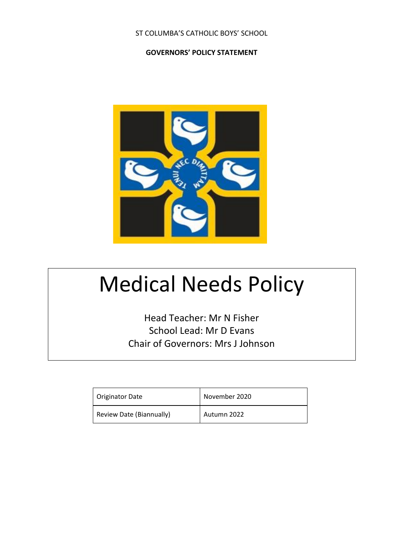## ST COLUMBA'S CATHOLIC BOYS' SCHOOL

#### **GOVERNORS' POLICY STATEMENT**



# Medical Needs Policy

Head Teacher: Mr N Fisher School Lead: Mr D Evans Chair of Governors: Mrs J Johnson

| <b>Originator Date</b>   | November 2020 |
|--------------------------|---------------|
| Review Date (Biannually) | Autumn 2022   |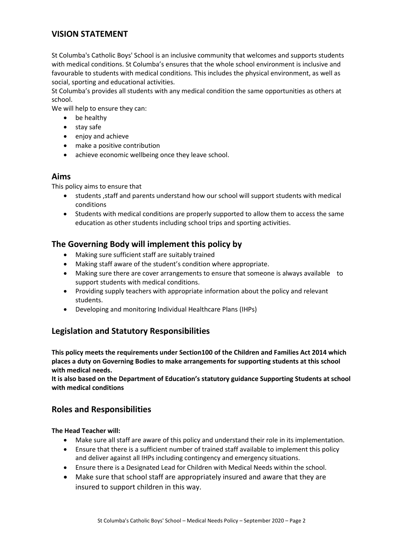# **VISION STATEMENT**

St Columba's Catholic Boys' School is an inclusive community that welcomes and supports students with medical conditions. St Columba's ensures that the whole school environment is inclusive and favourable to students with medical conditions. This includes the physical environment, as well as social, sporting and educational activities.

St Columba's provides all students with any medical condition the same opportunities as others at school.

We will help to ensure they can:

- be healthy
- stay safe
- enjoy and achieve
- make a positive contribution
- achieve economic wellbeing once they leave school.

#### **Aims**

This policy aims to ensure that

- students ,staff and parents understand how our school will support students with medical conditions
- Students with medical conditions are properly supported to allow them to access the same education as other students including school trips and sporting activities.

# **The Governing Body will implement this policy by**

- Making sure sufficient staff are suitably trained
- Making staff aware of the student's condition where appropriate.
- Making sure there are cover arrangements to ensure that someone is always available to support students with medical conditions.
- Providing supply teachers with appropriate information about the policy and relevant students.
- Developing and monitoring Individual Healthcare Plans (IHPs)

# **Legislation and Statutory Responsibilities**

**This policy meets the requirements under Section100 of the Children and Families Act 2014 which places a duty on Governing Bodies to make arrangements for supporting students at this school with medical needs.**

**It is also based on the Department of Education's statutory guidance Supporting Students at school with medical conditions**

# **Roles and Responsibilities**

#### **The Head Teacher will:**

- Make sure all staff are aware of this policy and understand their role in its implementation.
- Ensure that there is a sufficient number of trained staff available to implement this policy and deliver against all IHPs including contingency and emergency situations.
- Ensure there is a Designated Lead for Children with Medical Needs within the school.
- Make sure that school staff are appropriately insured and aware that they are insured to support children in this way.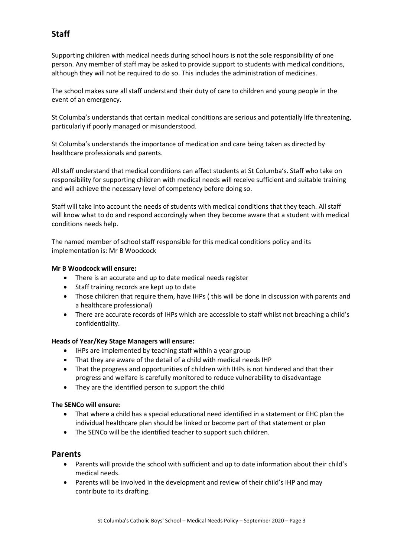# **Staff**

Supporting children with medical needs during school hours is not the sole responsibility of one person. Any member of staff may be asked to provide support to students with medical conditions, although they will not be required to do so. This includes the administration of medicines.

The school makes sure all staff understand their duty of care to children and young people in the event of an emergency.

St Columba's understands that certain medical conditions are serious and potentially life threatening, particularly if poorly managed or misunderstood.

St Columba's understands the importance of medication and care being taken as directed by healthcare professionals and parents.

All staff understand that medical conditions can affect students at St Columba's. Staff who take on responsibility for supporting children with medical needs will receive sufficient and suitable training and will achieve the necessary level of competency before doing so.

Staff will take into account the needs of students with medical conditions that they teach. All staff will know what to do and respond accordingly when they become aware that a student with medical conditions needs help.

The named member of school staff responsible for this medical conditions policy and its implementation is: Mr B Woodcock

#### **Mr B Woodcock will ensure:**

- There is an accurate and up to date medical needs register
- Staff training records are kept up to date
- Those children that require them, have IHPs ( this will be done in discussion with parents and a healthcare professional)
- There are accurate records of IHPs which are accessible to staff whilst not breaching a child's confidentiality.

#### **Heads of Year/Key Stage Managers will ensure:**

- IHPs are implemented by teaching staff within a year group
- That they are aware of the detail of a child with medical needs IHP
- That the progress and opportunities of children with IHPs is not hindered and that their progress and welfare is carefully monitored to reduce vulnerability to disadvantage
- They are the identified person to support the child

#### **The SENCo will ensure:**

- That where a child has a special educational need identified in a statement or EHC plan the individual healthcare plan should be linked or become part of that statement or plan
- The SENCo will be the identified teacher to support such children.

#### **Parents**

- Parents will provide the school with sufficient and up to date information about their child's medical needs.
- Parents will be involved in the development and review of their child's IHP and may contribute to its drafting.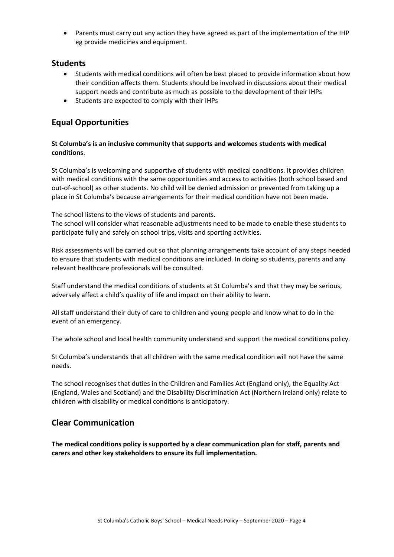• Parents must carry out any action they have agreed as part of the implementation of the IHP eg provide medicines and equipment.

### **Students**

- Students with medical conditions will often be best placed to provide information about how their condition affects them. Students should be involved in discussions about their medical support needs and contribute as much as possible to the development of their IHPs
- Students are expected to comply with their IHPs

# **Equal Opportunities**

#### **St Columba's is an inclusive community that supports and welcomes students with medical conditions**.

St Columba's is welcoming and supportive of students with medical conditions. It provides children with medical conditions with the same opportunities and access to activities (both school based and out-of-school) as other students. No child will be denied admission or prevented from taking up a place in St Columba's because arrangements for their medical condition have not been made.

The school listens to the views of students and parents.

The school will consider what reasonable adjustments need to be made to enable these students to participate fully and safely on school trips, visits and sporting activities.

Risk assessments will be carried out so that planning arrangements take account of any steps needed to ensure that students with medical conditions are included. In doing so students, parents and any relevant healthcare professionals will be consulted.

Staff understand the medical conditions of students at St Columba's and that they may be serious, adversely affect a child's quality of life and impact on their ability to learn.

All staff understand their duty of care to children and young people and know what to do in the event of an emergency.

The whole school and local health community understand and support the medical conditions policy.

St Columba's understands that all children with the same medical condition will not have the same needs.

The school recognises that duties in the Children and Families Act (England only), the Equality Act (England, Wales and Scotland) and the Disability Discrimination Act (Northern Ireland only) relate to children with disability or medical conditions is anticipatory.

# **Clear Communication**

**The medical conditions policy is supported by a clear communication plan for staff, parents and carers and other key stakeholders to ensure its full implementation.**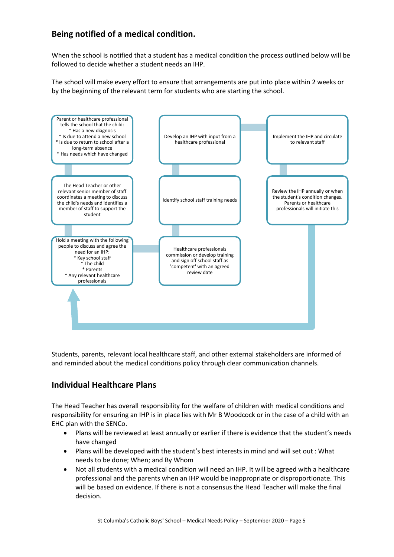# **Being notified of a medical condition.**

When the school is notified that a student has a medical condition the process outlined below will be followed to decide whether a student needs an IHP.

The school will make every effort to ensure that arrangements are put into place within 2 weeks or by the beginning of the relevant term for students who are starting the school.



Students, parents, relevant local healthcare staff, and other external stakeholders are informed of and reminded about the medical conditions policy through clear communication channels.

# **Individual Healthcare Plans**

The Head Teacher has overall responsibility for the welfare of children with medical conditions and responsibility for ensuring an IHP is in place lies with Mr B Woodcock or in the case of a child with an EHC plan with the SENCo.

- Plans will be reviewed at least annually or earlier if there is evidence that the student's needs have changed
- Plans will be developed with the student's best interests in mind and will set out : What needs to be done; When; and By Whom
- Not all students with a medical condition will need an IHP. It will be agreed with a healthcare professional and the parents when an IHP would be inappropriate or disproportionate. This will be based on evidence. If there is not a consensus the Head Teacher will make the final decision.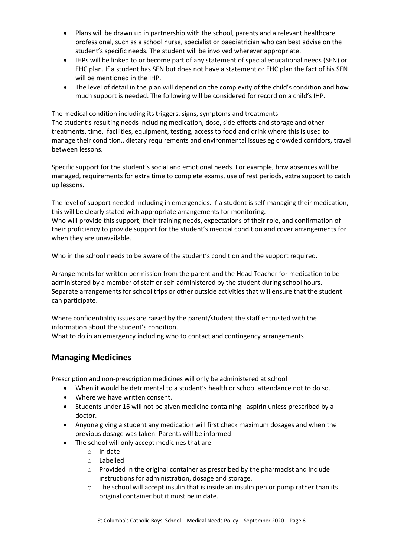- Plans will be drawn up in partnership with the school, parents and a relevant healthcare professional, such as a school nurse, specialist or paediatrician who can best advise on the student's specific needs. The student will be involved wherever appropriate.
- IHPs will be linked to or become part of any statement of special educational needs (SEN) or EHC plan. If a student has SEN but does not have a statement or EHC plan the fact of his SEN will be mentioned in the IHP.
- The level of detail in the plan will depend on the complexity of the child's condition and how much support is needed. The following will be considered for record on a child's IHP.

The medical condition including its triggers, signs, symptoms and treatments. The student's resulting needs including medication, dose, side effects and storage and other treatments, time, facilities, equipment, testing, access to food and drink where this is used to manage their condition,, dietary requirements and environmental issues eg crowded corridors, travel between lessons.

Specific support for the student's social and emotional needs. For example, how absences will be managed, requirements for extra time to complete exams, use of rest periods, extra support to catch up lessons.

The level of support needed including in emergencies. If a student is self-managing their medication, this will be clearly stated with appropriate arrangements for monitoring.

Who will provide this support, their training needs, expectations of their role, and confirmation of their proficiency to provide support for the student's medical condition and cover arrangements for when they are unavailable.

Who in the school needs to be aware of the student's condition and the support required.

Arrangements for written permission from the parent and the Head Teacher for medication to be administered by a member of staff or self-administered by the student during school hours. Separate arrangements for school trips or other outside activities that will ensure that the student can participate.

Where confidentiality issues are raised by the parent/student the staff entrusted with the information about the student's condition.

What to do in an emergency including who to contact and contingency arrangements

# **Managing Medicines**

Prescription and non-prescription medicines will only be administered at school

- When it would be detrimental to a student's health or school attendance not to do so.
- Where we have written consent.
- Students under 16 will not be given medicine containing aspirin unless prescribed by a doctor.
- Anyone giving a student any medication will first check maximum dosages and when the previous dosage was taken. Parents will be informed
- The school will only accept medicines that are
	- o In date
	- o Labelled
	- $\circ$  Provided in the original container as prescribed by the pharmacist and include instructions for administration, dosage and storage.
	- $\circ$  The school will accept insulin that is inside an insulin pen or pump rather than its original container but it must be in date.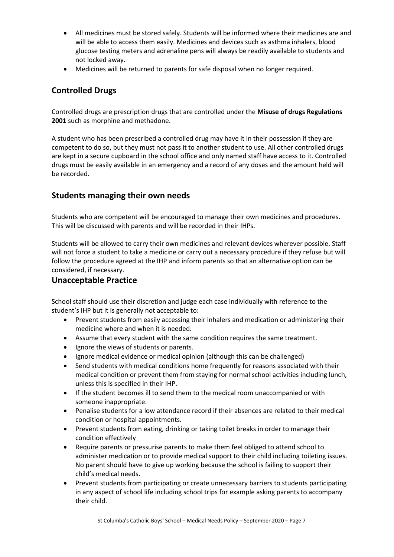- All medicines must be stored safely. Students will be informed where their medicines are and will be able to access them easily. Medicines and devices such as asthma inhalers, blood glucose testing meters and adrenaline pens will always be readily available to students and not locked away.
- Medicines will be returned to parents for safe disposal when no longer required.

# **Controlled Drugs**

Controlled drugs are prescription drugs that are controlled under the **Misuse of drugs Regulations 2001** such as morphine and methadone.

A student who has been prescribed a controlled drug may have it in their possession if they are competent to do so, but they must not pass it to another student to use. All other controlled drugs are kept in a secure cupboard in the school office and only named staff have access to it. Controlled drugs must be easily available in an emergency and a record of any doses and the amount held will be recorded.

# **Students managing their own needs**

Students who are competent will be encouraged to manage their own medicines and procedures. This will be discussed with parents and will be recorded in their IHPs.

Students will be allowed to carry their own medicines and relevant devices wherever possible. Staff will not force a student to take a medicine or carry out a necessary procedure if they refuse but will follow the procedure agreed at the IHP and inform parents so that an alternative option can be considered, if necessary.

# **Unacceptable Practice**

School staff should use their discretion and judge each case individually with reference to the student's IHP but it is generally not acceptable to:

- Prevent students from easily accessing their inhalers and medication or administering their medicine where and when it is needed.
- Assume that every student with the same condition requires the same treatment.
- Ignore the views of students or parents.
- Ignore medical evidence or medical opinion (although this can be challenged)
- Send students with medical conditions home frequently for reasons associated with their medical condition or prevent them from staying for normal school activities including lunch, unless this is specified in their IHP.
- If the student becomes ill to send them to the medical room unaccompanied or with someone inappropriate.
- Penalise students for a low attendance record if their absences are related to their medical condition or hospital appointments.
- Prevent students from eating, drinking or taking toilet breaks in order to manage their condition effectively
- Require parents or pressurise parents to make them feel obliged to attend school to administer medication or to provide medical support to their child including toileting issues. No parent should have to give up working because the school is failing to support their child's medical needs.
- Prevent students from participating or create unnecessary barriers to students participating in any aspect of school life including school trips for example asking parents to accompany their child.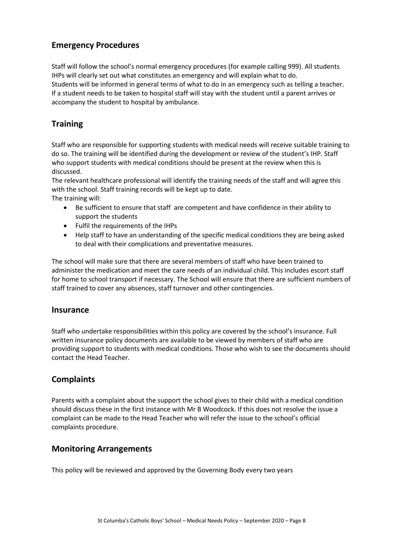# **Emergency Procedures**

Staff will follow the school's normal emergency procedures (for example calling 999). All students IHPs will clearly set out what constitutes an emergency and will explain what to do. Students will be informed in general terms of what to do in an emergency such as telling a teacher. If a student needs to be taken to hospital staff will stay with the student until a parent arrives or accompany the student to hospital by ambulance.

# **Training**

Staff who are responsible for supporting students with medical needs will receive suitable training to do so. The training will be identified during the development or review of the student's IHP. Staff who support students with medical conditions should be present at the review when this is discussed.

The relevant healthcare professional will identify the training needs of the staff and will agree this with the school. Staff training records will be kept up to date. The training will:

- Be sufficient to ensure that staff are competent and have confidence in their ability to support the students
- Fulfil the requirements of the IHPs
- Help staff to have an understanding of the specific medical conditions they are being asked to deal with their complications and preventative measures.

The school will make sure that there are several members of staff who have been trained to administer the medication and meet the care needs of an individual child. This includes escort staff for home to school transport if necessary. The School will ensure that there are sufficient numbers of staff trained to cover any absences, staff turnover and other contingencies.

### **Insurance**

Staff who undertake responsibilities within this policy are covered by the school's insurance. Full written insurance policy documents are available to be viewed by members of staff who are providing support to students with medical conditions. Those who wish to see the documents should contact the Head Teacher.

# **Complaints**

Parents with a complaint about the support the school gives to their child with a medical condition should discuss these in the first instance with Mr B Woodcock. If this does not resolve the issue a complaint can be made to the Head Teacher who will refer the issue to the school's official complaints procedure.

# **Monitoring Arrangements**

This policy will be reviewed and approved by the Governing Body every two years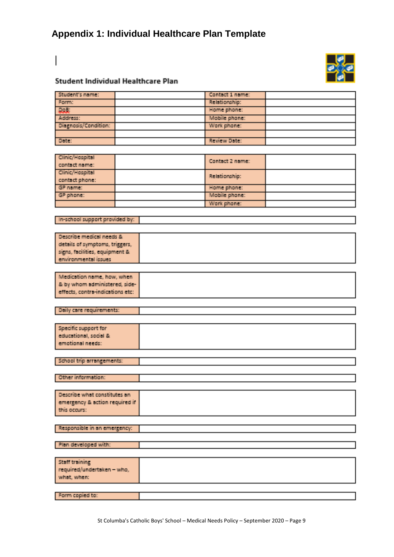# **Appendix 1: Individual Healthcare Plan Template**

# Student Individual Healthcare Plan

| Student's name:      | Contact 1 name: |  |
|----------------------|-----------------|--|
| Form:                | Relationship:   |  |
| الملامة              | Home phone:     |  |
| Address:             | Mobile phone:   |  |
| Diagnosis/Condition: | Work phone:     |  |
|                      |                 |  |
| <b>Dair:</b>         | Review Date:    |  |

| Clinic/Hospital<br>contact name:  | Contact 2 name: |  |
|-----------------------------------|-----------------|--|
| Clinic/Hospital<br>contact phone: | Relationship:   |  |
| GP name:                          | Home phone:     |  |
| GP phone:                         | Mobile phone:   |  |
|                                   | Work phone:     |  |

#### In-school support provided by:

| Describe medical needs &       |
|--------------------------------|
| details of symptoms, triggers, |
| signs, facilities, equipment & |
| environmental issues           |

| & by whom administered, side-<br>effects, contra-indications etc: | Medication name, how, when |  |
|-------------------------------------------------------------------|----------------------------|--|
|                                                                   |                            |  |
|                                                                   |                            |  |

|  |  | Daily care requirements: |  |
|--|--|--------------------------|--|
|  |  |                          |  |

| Specific support for      |  |
|---------------------------|--|
| educational, social &     |  |
| emotional needs:          |  |
|                           |  |
|                           |  |
| School trip arrangements: |  |

Other information:

| Describe what constitutes an   |
|--------------------------------|
| emergency & action required if |
| this occurs:                   |

#### Responsible in an emergency:

|  | Plan developed with: |
|--|----------------------|

| <b>Staff training</b><br>required/undertaken - who,<br>what, when: |  |
|--------------------------------------------------------------------|--|
| Form copied to:                                                    |  |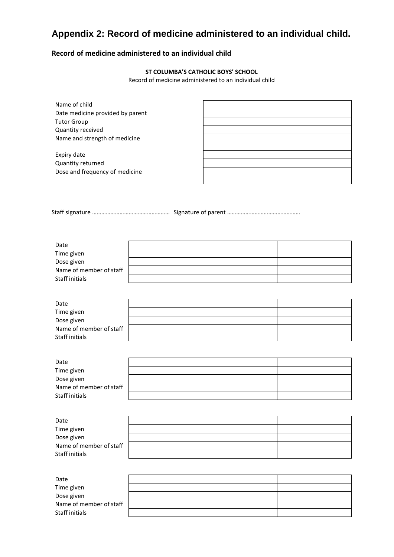# **Appendix 2: Record of medicine administered to an individual child.**

### **Record of medicine administered to an individual child**

#### **ST COLUMBA'S CATHOLIC BOYS' SCHOOL**

Record of medicine administered to an individual child

| Name of child                    |  |
|----------------------------------|--|
| Date medicine provided by parent |  |
| <b>Tutor Group</b>               |  |
| Quantity received                |  |
| Name and strength of medicine    |  |
| Expiry date                      |  |
| Quantity returned                |  |
| Dose and frequency of medicine   |  |
|                                  |  |

Staff signature …………………………………………… Signature of parent …………………………………………

| Date                    |  |  |
|-------------------------|--|--|
| Time given              |  |  |
| Dose given              |  |  |
| Name of member of staff |  |  |
| Staff initials          |  |  |

| Date                    |  |  |
|-------------------------|--|--|
| Time given              |  |  |
| Dose given              |  |  |
| Name of member of staff |  |  |
| Staff initials          |  |  |

| Date                    |  |  |
|-------------------------|--|--|
| Time given              |  |  |
| Dose given              |  |  |
| Name of member of staff |  |  |
| Staff initials          |  |  |

| Date                    |  |  |
|-------------------------|--|--|
| Time given              |  |  |
| Dose given              |  |  |
| Name of member of staff |  |  |
| Staff initials          |  |  |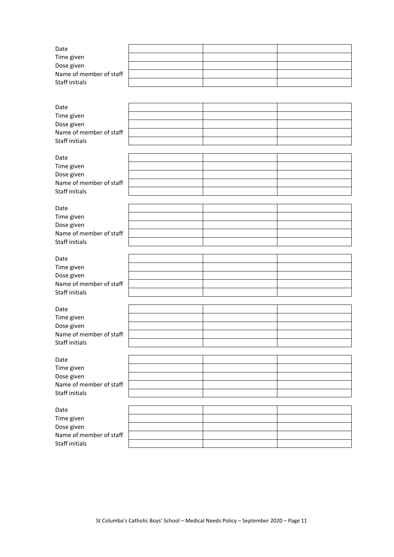| Date                                      |  |  |
|-------------------------------------------|--|--|
|                                           |  |  |
| Time given                                |  |  |
| Dose given                                |  |  |
|                                           |  |  |
| Name of member of staff                   |  |  |
|                                           |  |  |
| <b>Staff initials</b>                     |  |  |
|                                           |  |  |
| Date                                      |  |  |
|                                           |  |  |
| Time given                                |  |  |
|                                           |  |  |
| Dose given                                |  |  |
| Name of member of staff                   |  |  |
|                                           |  |  |
| <b>Staff initials</b>                     |  |  |
|                                           |  |  |
|                                           |  |  |
| Date                                      |  |  |
|                                           |  |  |
| Time given                                |  |  |
| Dose given                                |  |  |
|                                           |  |  |
| Name of member of staff                   |  |  |
| <b>Staff initials</b>                     |  |  |
|                                           |  |  |
|                                           |  |  |
| Date                                      |  |  |
|                                           |  |  |
| Time given                                |  |  |
|                                           |  |  |
| Dose given                                |  |  |
| Name of member of staff                   |  |  |
|                                           |  |  |
| Staff initials                            |  |  |
|                                           |  |  |
|                                           |  |  |
|                                           |  |  |
| Date                                      |  |  |
|                                           |  |  |
| Time given                                |  |  |
|                                           |  |  |
| Dose given                                |  |  |
| Name of member of staff                   |  |  |
|                                           |  |  |
| Staff initials                            |  |  |
|                                           |  |  |
|                                           |  |  |
| Date                                      |  |  |
| Time given                                |  |  |
|                                           |  |  |
| Dose given                                |  |  |
| Name of member of staff                   |  |  |
|                                           |  |  |
| Staff initials                            |  |  |
|                                           |  |  |
|                                           |  |  |
| Date                                      |  |  |
|                                           |  |  |
| Time given                                |  |  |
| Dose given                                |  |  |
|                                           |  |  |
| Name of member of staff                   |  |  |
| <b>Staff initials</b>                     |  |  |
|                                           |  |  |
|                                           |  |  |
| Date                                      |  |  |
|                                           |  |  |
| Time given                                |  |  |
|                                           |  |  |
| Dose given                                |  |  |
| Name of member of staff<br>Staff initials |  |  |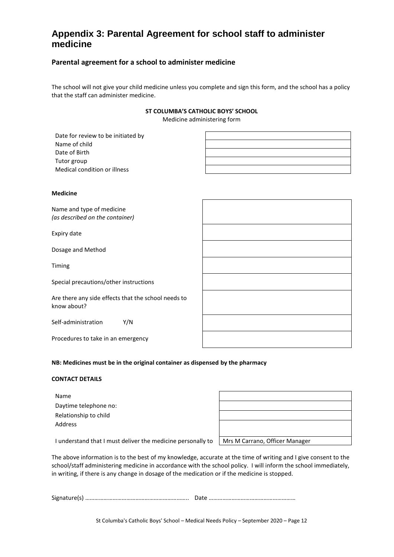# **Appendix 3: Parental Agreement for school staff to administer medicine**

#### **Parental agreement for a school to administer medicine**

The school will not give your child medicine unless you complete and sign this form, and the school has a policy that the staff can administer medicine.

#### **ST COLUMBA'S CATHOLIC BOYS' SCHOOL**

Medicine administering form

| Date for review to be initiated by |  |
|------------------------------------|--|
| Name of child                      |  |
| Date of Birth                      |  |
| Tutor group                        |  |
| Medical condition or illness       |  |

#### **Medicine**

Name and type of medicine *(as described on the container)*

Expiry date

Dosage and Method

Timing

Special precautions/other instructions

Are there any side effects that the school needs to know about?

Self-administration Y/N

Procedures to take in an emergency

|  |  | NB: Medicines must be in the original container as dispensed by the pharmacy |
|--|--|------------------------------------------------------------------------------|
|  |  |                                                                              |

#### **CONTACT DETAILS**

| Name                  |
|-----------------------|
| Daytime telephone no: |
| Relationship to child |
| Address               |

| Mrs M Carrano Officer Manager |  |
|-------------------------------|--|

I understand that I must deliver the medicine personally to | Mrs M Carrano, Officer Manager

The above information is to the best of my knowledge, accurate at the time of writing and I give consent to the school/staff administering medicine in accordance with the school policy. I will inform the school immediately, in writing, if there is any change in dosage of the medication or if the medicine is stopped.

Signature(s) ………………………………………………………….. Date …………………………………………………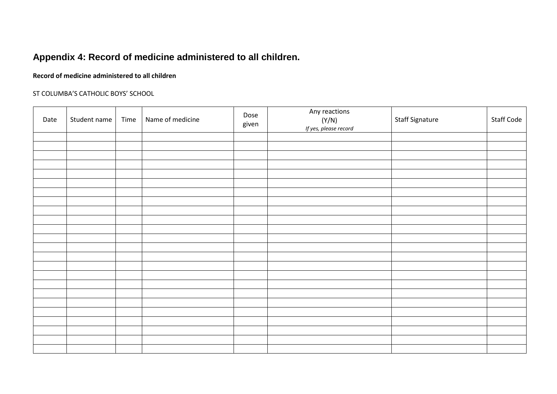# **Appendix 4: Record of medicine administered to all children.**

#### **Record of medicine administered to all children**

#### ST COLUMBA'S CATHOLIC BOYS' SCHOOL

| Date | Student name | Time | Name of medicine | Dose<br>given | Any reactions<br>(Y/N)<br>If yes, please record | <b>Staff Signature</b> | <b>Staff Code</b> |
|------|--------------|------|------------------|---------------|-------------------------------------------------|------------------------|-------------------|
|      |              |      |                  |               |                                                 |                        |                   |
|      |              |      |                  |               |                                                 |                        |                   |
|      |              |      |                  |               |                                                 |                        |                   |
|      |              |      |                  |               |                                                 |                        |                   |
|      |              |      |                  |               |                                                 |                        |                   |
|      |              |      |                  |               |                                                 |                        |                   |
|      |              |      |                  |               |                                                 |                        |                   |
|      |              |      |                  |               |                                                 |                        |                   |
|      |              |      |                  |               |                                                 |                        |                   |
|      |              |      |                  |               |                                                 |                        |                   |
|      |              |      |                  |               |                                                 |                        |                   |
|      |              |      |                  |               |                                                 |                        |                   |
|      |              |      |                  |               |                                                 |                        |                   |
|      |              |      |                  |               |                                                 |                        |                   |
|      |              |      |                  |               |                                                 |                        |                   |
|      |              |      |                  |               |                                                 |                        |                   |
|      |              |      |                  |               |                                                 |                        |                   |
|      |              |      |                  |               |                                                 |                        |                   |
|      |              |      |                  |               |                                                 |                        |                   |
|      |              |      |                  |               |                                                 |                        |                   |
|      |              |      |                  |               |                                                 |                        |                   |
|      |              |      |                  |               |                                                 |                        |                   |
|      |              |      |                  |               |                                                 |                        |                   |
|      |              |      |                  |               |                                                 |                        |                   |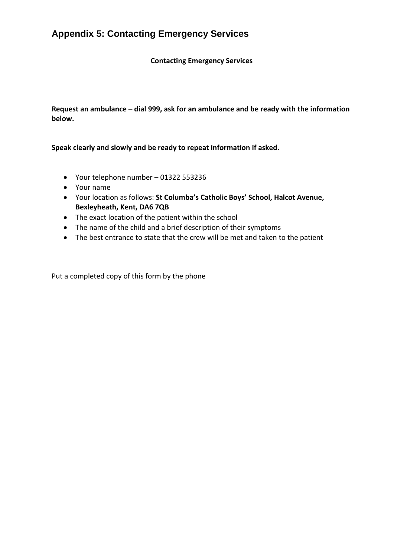# **Appendix 5: Contacting Emergency Services**

**Contacting Emergency Services**

**Request an ambulance – dial 999, ask for an ambulance and be ready with the information below.**

**Speak clearly and slowly and be ready to repeat information if asked.**

- Your telephone number 01322 553236
- Your name
- Your location as follows: **St Columba's Catholic Boys' School, Halcot Avenue, Bexleyheath, Kent, DA6 7QB**
- The exact location of the patient within the school
- The name of the child and a brief description of their symptoms
- The best entrance to state that the crew will be met and taken to the patient

Put a completed copy of this form by the phone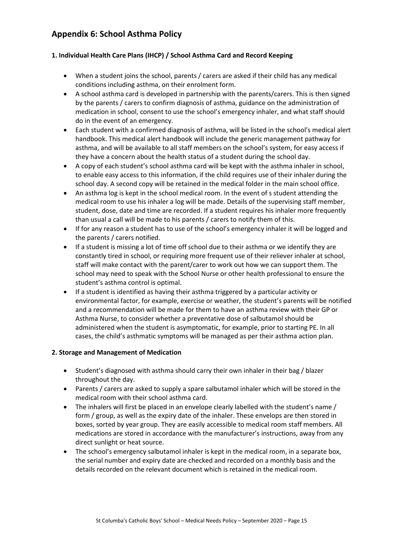# **Appendix 6: School Asthma Policy**

#### **1. Individual Health Care Plans (IHCP) / School Asthma Card and Record Keeping**

- When a student joins the school, parents / carers are asked if their child has any medical conditions including asthma, on their enrolment form.
- A school asthma card is developed in partnership with the parents/carers. This is then signed by the parents / carers to confirm diagnosis of asthma, guidance on the administration of medication in school, consent to use the school's emergency inhaler, and what staff should do in the event of an emergency.
- Each student with a confirmed diagnosis of asthma, will be listed in the school's medical alert handbook. This medical alert handbook will include the generic management pathway for asthma, and will be available to all staff members on the school's system, for easy access if they have a concern about the health status of a student during the school day.
- A copy of each student's school asthma card will be kept with the asthma inhaler in school, to enable easy access to this information, if the child requires use of their inhaler during the school day. A second copy will be retained in the medical folder in the main school office.
- An asthma log is kept in the school medical room. In the event of s student attending the medical room to use his inhaler a log will be made. Details of the supervising staff member, student, dose, date and time are recorded. If a student requires his inhaler more frequently than usual a call will be made to his parents / carers to notify them of this.
- If for any reason a student has to use of the school's emergency inhaler it will be logged and the parents / carers notified.
- If a student is missing a lot of time off school due to their asthma or we identify they are constantly tired in school, or requiring more frequent use of their reliever inhaler at school, staff will make contact with the parent/carer to work out how we can support them. The school may need to speak with the School Nurse or other health professional to ensure the student's asthma control is optimal.
- If a student is identified as having their asthma triggered by a particular activity or environmental factor, for example, exercise or weather, the student's parents will be notified and a recommendation will be made for them to have an asthma review with their GP or Asthma Nurse, to consider whether a preventative dose of salbutamol should be administered when the student is asymptomatic, for example, prior to starting PE. In all cases, the child's asthmatic symptoms will be managed as per their asthma action plan.

#### **2. Storage and Management of Medication**

- Student's diagnosed with asthma should carry their own inhaler in their bag / blazer throughout the day.
- Parents / carers are asked to supply a spare salbutamol inhaler which will be stored in the medical room with their school asthma card.
- The inhalers will first be placed in an envelope clearly labelled with the student's name / form / group, as well as the expiry date of the inhaler. These envelops are then stored in boxes, sorted by year group. They are easily accessible to medical room staff members. All medications are stored in accordance with the manufacturer's instructions, away from any direct sunlight or heat source.
- The school's emergency salbutamol inhaler is kept in the medical room, in a separate box, the serial number and expiry date are checked and recorded on a monthly basis and the details recorded on the relevant document which is retained in the medical room.